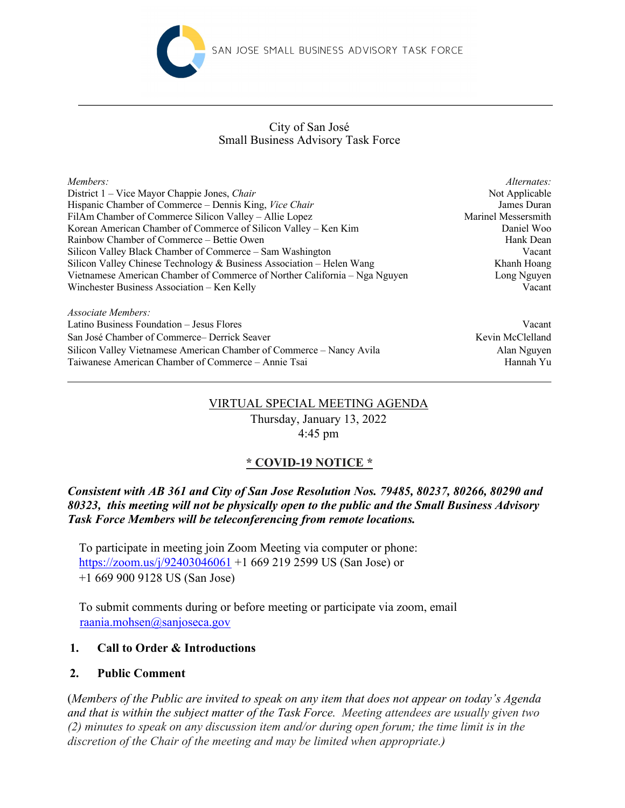

#### Small Business Advisory Task Force City of San José

| Members:                                                                   | Alternates:         |
|----------------------------------------------------------------------------|---------------------|
| District 1 – Vice Mayor Chappie Jones, Chair                               | Not Applicable      |
| Hispanic Chamber of Commerce – Dennis King, Vice Chair                     | James Duran         |
| FilAm Chamber of Commerce Silicon Valley – Allie Lopez                     | Marinel Messersmith |
| Korean American Chamber of Commerce of Silicon Valley – Ken Kim            | Daniel Woo          |
| Rainbow Chamber of Commerce – Bettie Owen                                  | Hank Dean           |
| Silicon Valley Black Chamber of Commerce – Sam Washington                  | Vacant              |
| Silicon Valley Chinese Technology & Business Association - Helen Wang      | Khanh Hoang         |
| Vietnamese American Chamber of Commerce of Norther California – Nga Nguyen | Long Nguyen         |
| Winchester Business Association – Ken Kelly                                | Vacant              |
| Associate Members:                                                         |                     |

Latino Business Foundation – Jesus Flores Vacant San José Chamber of Commerce– Derrick Seaver Kevin McClelland Kevin McClelland Silicon Valley Vietnamese American Chamber of Commerce – Nancy Avila Alan Nguyen Taiwanese American Chamber of Commerce – Annie Tsai Hannah Yu

# VIRTUAL SPECIAL MEETING AGENDA

Thursday, January 13, 2022 4:45 pm

# **\* COVID-19 NOTICE \***

# *Consistent with AB 361 and City of San Jose Resolution Nos. 79485, 80237, 80266, 80290 and 80323, this meeting will not be physically open to the public and the Small Business Advisory Task Force Members will be teleconferencing from remote locations.*

To participate in meeting join Zoom Meeting via computer or phone: https://zoom.us/j/92403046061 +1 669 219 2599 US (San Jose) or +1 669 900 9128 US (San Jose)

To submit comments during or before meeting or participate via zoom, email raania.mohsen@sanjoseca.gov

## **1. Call to Order & Introductions**

## **2. Public Comment**

(*Members of the Public are invited to speak on any item that does not appear on today's Agenda and that is within the subject matter of the Task Force. Meeting attendees are usually given two (2) minutes to speak on any discussion item and/or during open forum; the time limit is in the discretion of the Chair of the meeting and may be limited when appropriate.)*